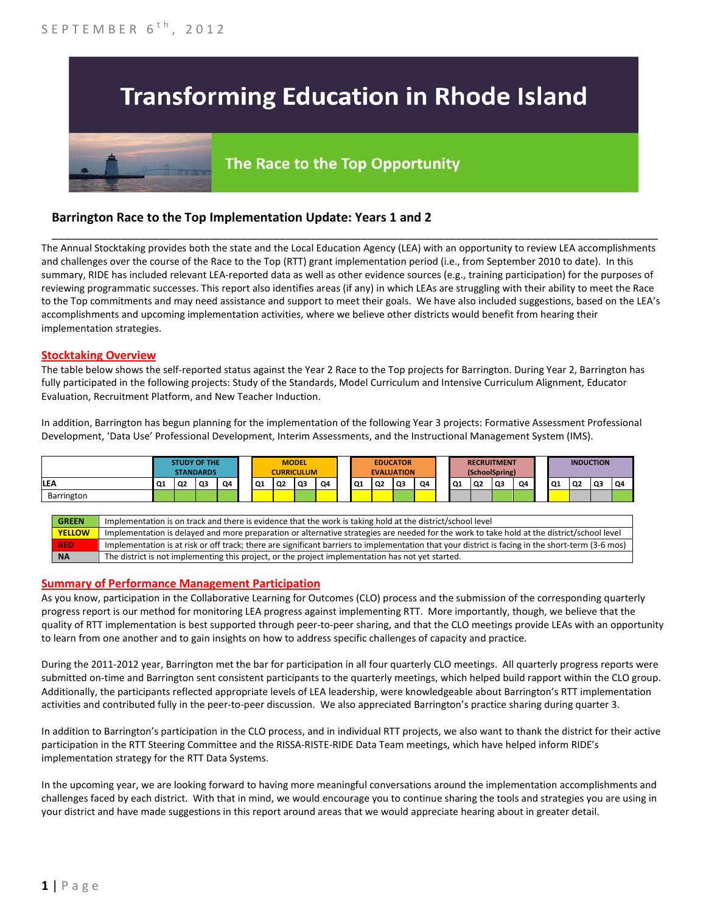# **Transforming Education in Rhode Island**

# The Race to the Top Opportunity

## **Barrington Race to the Top Implementation Update: Years 1 and 2**

The Annual Stocktaking provides both the state and the Local Education Agency (LEA) with an opportunity to review LEA accomplishments and challenges over the course of the Race to the Top (RTT) grant implementation period (i.e., from September 2010 to date). In this summary, RIDE has included relevant LEA-reported data as well as other evidence sources (e.g., training participation) for the purposes of reviewing programmatic successes. This report also identifies areas (if any) in which LEAs are struggling with their ability to meet the Race to the Top commitments and may need assistance and support to meet their goals. We have also included suggestions, based on the LEA's accomplishments and upcoming implementation activities, where we believe other districts would benefit from hearing their implementation strategies.

\_\_\_\_\_\_\_\_\_\_\_\_\_\_\_\_\_\_\_\_\_\_\_\_\_\_\_\_\_\_\_\_\_\_\_\_\_\_\_\_\_\_\_\_\_\_\_\_\_\_\_\_\_\_\_\_\_\_\_\_\_\_\_\_\_\_\_\_\_\_\_\_\_\_\_\_\_\_\_\_\_\_\_\_\_\_\_\_\_\_\_\_\_\_\_\_

#### **Stocktaking Overview**

The table below shows the self-reported status against the Year 2 Race to the Top projects for Barrington. During Year 2, Barrington has fully participated in the following projects: Study of the Standards, Model Curriculum and Intensive Curriculum Alignment, Educator Evaluation, Recruitment Platform, and New Teacher Induction.

In addition, Barrington has begun planning for the implementation of the following Year 3 projects: Formative Assessment Professional Development, 'Data Use' Professional Development, Interim Assessments, and the Instructional Management System (IMS).



#### **Summary of Performance Management Participation**

As you know, participation in the Collaborative Learning for Outcomes (CLO) process and the submission of the corresponding quarterly progress report is our method for monitoring LEA progress against implementing RTT. More importantly, though, we believe that the quality of RTT implementation is best supported through peer-to-peer sharing, and that the CLO meetings provide LEAs with an opportunity to learn from one another and to gain insights on how to address specific challenges of capacity and practice.

During the 2011-2012 year, Barrington met the bar for participation in all four quarterly CLO meetings. All quarterly progress reports were submitted on-time and Barrington sent consistent participants to the quarterly meetings, which helped build rapport within the CLO group. Additionally, the participants reflected appropriate levels of LEA leadership, were knowledgeable about Barrington's RTT implementation activities and contributed fully in the peer-to-peer discussion. We also appreciated Barrington's practice sharing during quarter 3.

In addition to Barrington's participation in the CLO process, and in individual RTT projects, we also want to thank the district for their active participation in the RTT Steering Committee and the RISSA-RISTE-RIDE Data Team meetings, which have helped inform RIDE's implementation strategy for the RTT Data Systems.

In the upcoming year, we are looking forward to having more meaningful conversations around the implementation accomplishments and challenges faced by each district. With that in mind, we would encourage you to continue sharing the tools and strategies you are using in your district and have made suggestions in this report around areas that we would appreciate hearing about in greater detail.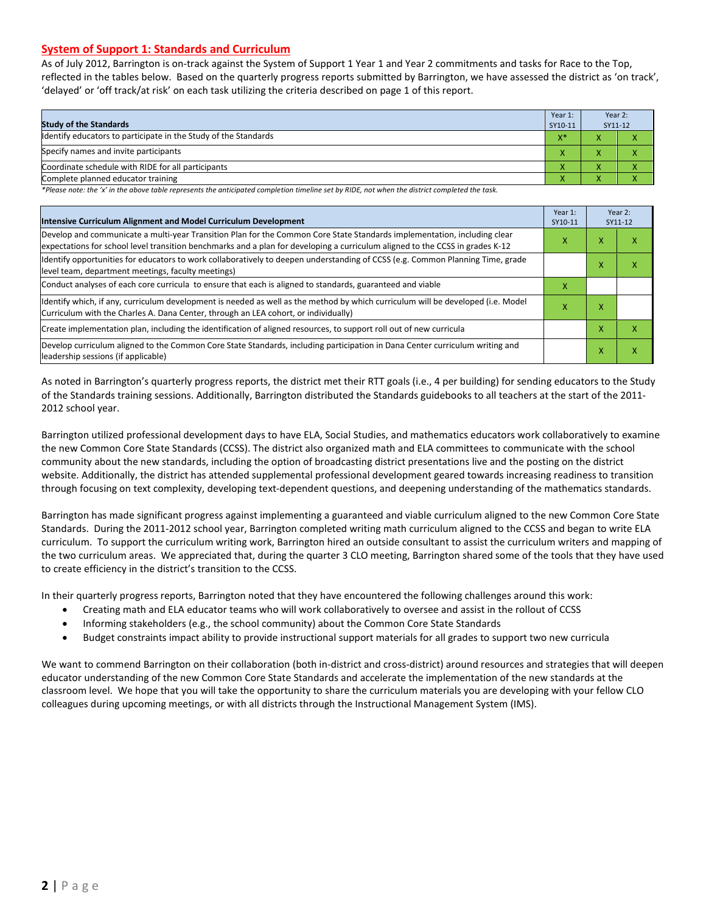#### **System of Support 1: Standards and Curriculum**

As of July 2012, Barrington is on-track against the System of Support 1 Year 1 and Year 2 commitments and tasks for Race to the Top, reflected in the tables below. Based on the quarterly progress reports submitted by Barrington, we have assessed the district as 'on track', 'delayed' or 'off track/at risk' on each task utilizing the criteria described on page 1 of this report.

| <b>Study of the Standards</b>                                   | Year 1:<br>SY10-11 | Year 2:<br>SY11-12 |  |
|-----------------------------------------------------------------|--------------------|--------------------|--|
| Identify educators to participate in the Study of the Standards | $X^*$              |                    |  |
| Specify names and invite participants                           |                    |                    |  |
| Coordinate schedule with RIDE for all participants              |                    |                    |  |
| Complete planned educator training                              | $\mathbf{\Lambda}$ |                    |  |

*\*Please note: the 'x' in the above table represents the anticipated completion timeline set by RIDE, not when the district completed the task.*

| Intensive Curriculum Alignment and Model Curriculum Development                                                                                                                                                                                           |   |   | Year 2:<br>SY11-12 |
|-----------------------------------------------------------------------------------------------------------------------------------------------------------------------------------------------------------------------------------------------------------|---|---|--------------------|
| Develop and communicate a multi-year Transition Plan for the Common Core State Standards implementation, including clear<br>expectations for school level transition benchmarks and a plan for developing a curriculum aligned to the CCSS in grades K-12 | x | x | ⋏                  |
| Identify opportunities for educators to work collaboratively to deepen understanding of CCSS (e.g. Common Planning Time, grade<br>level team, department meetings, faculty meetings)                                                                      |   | x |                    |
| Conduct analyses of each core curricula to ensure that each is aligned to standards, guaranteed and viable                                                                                                                                                | x |   |                    |
| ldentify which, if any, curriculum development is needed as well as the method by which curriculum will be developed (i.e. Model<br>Curriculum with the Charles A. Dana Center, through an LEA cohort, or individually)                                   | x | x |                    |
| Create implementation plan, including the identification of aligned resources, to support roll out of new curricula                                                                                                                                       |   | x | x                  |
| Develop curriculum aligned to the Common Core State Standards, including participation in Dana Center curriculum writing and<br>leadership sessions (if applicable)                                                                                       |   |   |                    |

As noted in Barrington's quarterly progress reports, the district met their RTT goals (i.e., 4 per building) for sending educators to the Study of the Standards training sessions. Additionally, Barrington distributed the Standards guidebooks to all teachers at the start of the 2011- 2012 school year.

Barrington utilized professional development days to have ELA, Social Studies, and mathematics educators work collaboratively to examine the new Common Core State Standards (CCSS). The district also organized math and ELA committees to communicate with the school community about the new standards, including the option of broadcasting district presentations live and the posting on the district website. Additionally, the district has attended supplemental professional development geared towards increasing readiness to transition through focusing on text complexity, developing text-dependent questions, and deepening understanding of the mathematics standards.

Barrington has made significant progress against implementing a guaranteed and viable curriculum aligned to the new Common Core State Standards. During the 2011-2012 school year, Barrington completed writing math curriculum aligned to the CCSS and began to write ELA curriculum. To support the curriculum writing work, Barrington hired an outside consultant to assist the curriculum writers and mapping of the two curriculum areas. We appreciated that, during the quarter 3 CLO meeting, Barrington shared some of the tools that they have used to create efficiency in the district's transition to the CCSS.

In their quarterly progress reports, Barrington noted that they have encountered the following challenges around this work:

- Creating math and ELA educator teams who will work collaboratively to oversee and assist in the rollout of CCSS
- Informing stakeholders (e.g., the school community) about the Common Core State Standards
- Budget constraints impact ability to provide instructional support materials for all grades to support two new curricula

We want to commend Barrington on their collaboration (both in-district and cross-district) around resources and strategies that will deepen educator understanding of the new Common Core State Standards and accelerate the implementation of the new standards at the classroom level. We hope that you will take the opportunity to share the curriculum materials you are developing with your fellow CLO colleagues during upcoming meetings, or with all districts through the Instructional Management System (IMS).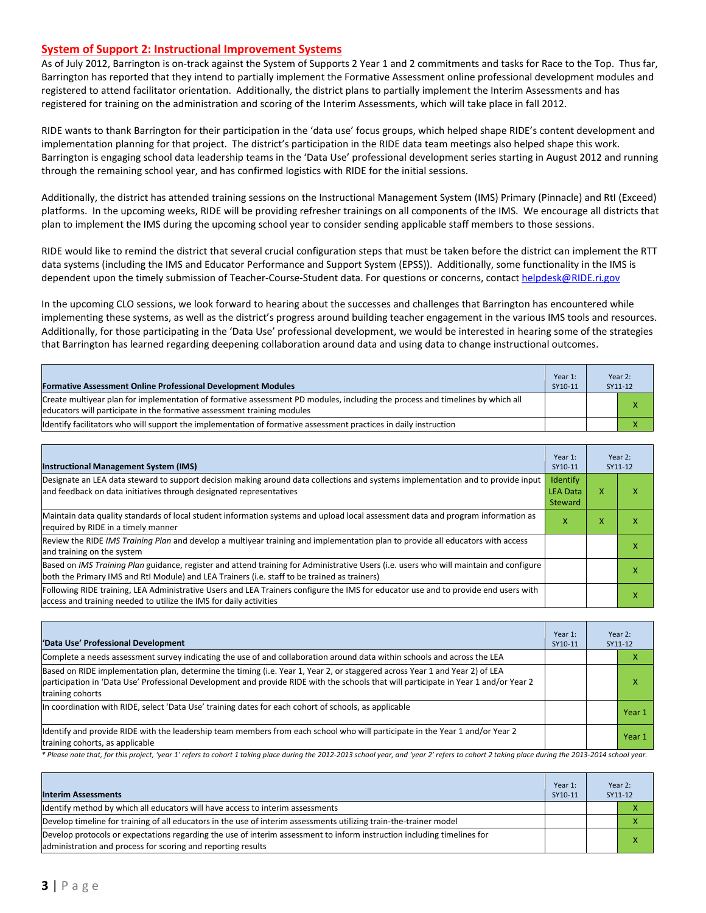#### **System of Support 2: Instructional Improvement Systems**

As of July 2012, Barrington is on-track against the System of Supports 2 Year 1 and 2 commitments and tasks for Race to the Top. Thus far, Barrington has reported that they intend to partially implement the Formative Assessment online professional development modules and registered to attend facilitator orientation. Additionally, the district plans to partially implement the Interim Assessments and has registered for training on the administration and scoring of the Interim Assessments, which will take place in fall 2012.

RIDE wants to thank Barrington for their participation in the 'data use' focus groups, which helped shape RIDE's content development and implementation planning for that project. The district's participation in the RIDE data team meetings also helped shape this work. Barrington is engaging school data leadership teams in the 'Data Use' professional development series starting in August 2012 and running through the remaining school year, and has confirmed logistics with RIDE for the initial sessions.

Additionally, the district has attended training sessions on the Instructional Management System (IMS) Primary (Pinnacle) and RtI (Exceed) platforms. In the upcoming weeks, RIDE will be providing refresher trainings on all components of the IMS. We encourage all districts that plan to implement the IMS during the upcoming school year to consider sending applicable staff members to those sessions.

RIDE would like to remind the district that several crucial configuration steps that must be taken before the district can implement the RTT data systems (including the IMS and Educator Performance and Support System (EPSS)). Additionally, some functionality in the IMS is dependent upon the timely submission of Teacher-Course-Student data. For questions or concerns, contac[t helpdesk@RIDE.ri.gov](mailto:helpdesk@RIDE.ri.gov)

In the upcoming CLO sessions, we look forward to hearing about the successes and challenges that Barrington has encountered while implementing these systems, as well as the district's progress around building teacher engagement in the various IMS tools and resources. Additionally, for those participating in the 'Data Use' professional development, we would be interested in hearing some of the strategies that Barrington has learned regarding deepening collaboration around data and using data to change instructional outcomes.

| <b>Formative Assessment Online Professional Development Modules</b>                                                                                                                                      | Year 1:<br>SY10-11 | Year 2:<br>SY11-12 |  |
|----------------------------------------------------------------------------------------------------------------------------------------------------------------------------------------------------------|--------------------|--------------------|--|
| Create multivear plan for implementation of formative assessment PD modules, including the process and timelines by which all<br>educators will participate in the formative assessment training modules |                    |                    |  |
| Ildentify facilitators who will support the implementation of formative assessment practices in daily instruction                                                                                        |                    |                    |  |

| <b>Instructional Management System (IMS)</b>                                                                                                                                                                                           | Year 1:<br>SY10-11 |   | Year 2:<br>SY11-12 |
|----------------------------------------------------------------------------------------------------------------------------------------------------------------------------------------------------------------------------------------|--------------------|---|--------------------|
| Designate an LEA data steward to support decision making around data collections and systems implementation and to provide input<br>and feedback on data initiatives through designated representatives<br><b>LEA Data</b><br>Steward  |                    | x |                    |
| Maintain data quality standards of local student information systems and upload local assessment data and program information as<br>required by RIDE in a timely manner                                                                | x                  | x |                    |
| Review the RIDE IMS Training Plan and develop a multiyear training and implementation plan to provide all educators with access<br>and training on the system                                                                          |                    |   |                    |
| Based on IMS Training Plan guidance, register and attend training for Administrative Users (i.e. users who will maintain and configure<br>both the Primary IMS and RtI Module) and LEA Trainers (i.e. staff to be trained as trainers) |                    |   |                    |
| Following RIDE training, LEA Administrative Users and LEA Trainers configure the IMS for educator use and to provide end users with<br>access and training needed to utilize the IMS for daily activities                              |                    |   | х                  |

| 'Data Use' Professional Development                                                                                                                                                                                                                                                     | Year 1:<br>SY10-11 | Year 2:<br>SY11-12 |
|-----------------------------------------------------------------------------------------------------------------------------------------------------------------------------------------------------------------------------------------------------------------------------------------|--------------------|--------------------|
| Complete a needs assessment survey indicating the use of and collaboration around data within schools and across the LEA                                                                                                                                                                |                    |                    |
| Based on RIDE implementation plan, determine the timing (i.e. Year 1, Year 2, or staggered across Year 1 and Year 2) of LEA<br>participation in 'Data Use' Professional Development and provide RIDE with the schools that will participate in Year 1 and/or Year 2<br>training cohorts |                    |                    |
| In coordination with RIDE, select 'Data Use' training dates for each cohort of schools, as applicable                                                                                                                                                                                   |                    | Year 1             |
| Identify and provide RIDE with the leadership team members from each school who will participate in the Year 1 and/or Year 2<br>training cohorts, as applicable                                                                                                                         |                    | Year 1             |

*\* Please note that, for this project, 'year 1' refers to cohort 1 taking place during the 2012-2013 school year, and 'year 2' refers to cohort 2 taking place during the 2013-2014 school year.*

| <b>Interim Assessments</b>                                                                                                                                                              | Year 1:<br>SY10-11 | Year 2:<br>SY11-12 |
|-----------------------------------------------------------------------------------------------------------------------------------------------------------------------------------------|--------------------|--------------------|
| Identify method by which all educators will have access to interim assessments                                                                                                          |                    |                    |
| Develop timeline for training of all educators in the use of interim assessments utilizing train-the-trainer model                                                                      |                    |                    |
| Develop protocols or expectations regarding the use of interim assessment to inform instruction including timelines for<br>administration and process for scoring and reporting results |                    |                    |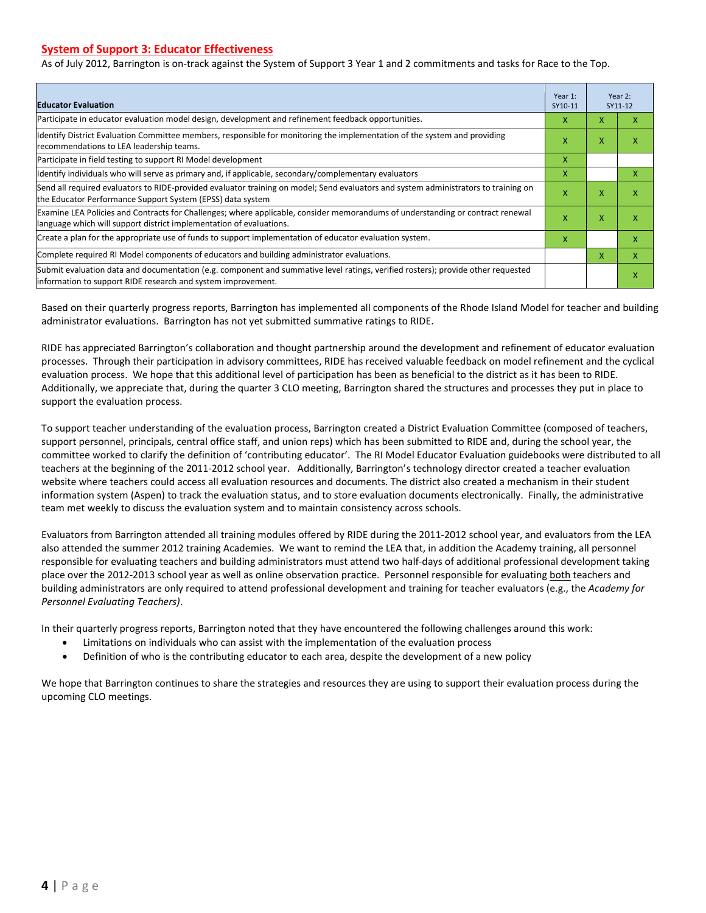#### **System of Support 3: Educator Effectiveness**

As of July 2012, Barrington is on-track against the System of Support 3 Year 1 and 2 commitments and tasks for Race to the Top.

| <b>Educator Evaluation</b>                                                                                                                                                                            |   |   | Year 2:<br>SY11-12 |
|-------------------------------------------------------------------------------------------------------------------------------------------------------------------------------------------------------|---|---|--------------------|
| Participate in educator evaluation model design, development and refinement feedback opportunities.                                                                                                   | x | X | x                  |
| Identify District Evaluation Committee members, responsible for monitoring the implementation of the system and providing<br>recommendations to LEA leadership teams.                                 | X | X | x                  |
| Participate in field testing to support RI Model development                                                                                                                                          | x |   |                    |
| Identify individuals who will serve as primary and, if applicable, secondary/complementary evaluators                                                                                                 | x |   | x                  |
| Send all required evaluators to RIDE-provided evaluator training on model; Send evaluators and system administrators to training on<br>the Educator Performance Support System (EPSS) data system     | X | X | х                  |
| Examine LEA Policies and Contracts for Challenges; where applicable, consider memorandums of understanding or contract renewal<br>language which will support district implementation of evaluations. |   | X | X                  |
| Create a plan for the appropriate use of funds to support implementation of educator evaluation system.                                                                                               |   |   | x                  |
| Complete required RI Model components of educators and building administrator evaluations.                                                                                                            |   |   | x                  |
| Submit evaluation data and documentation (e.g. component and summative level ratings, verified rosters); provide other requested<br>linformation to support RIDE research and system improvement.     |   |   | х                  |

Based on their quarterly progress reports, Barrington has implemented all components of the Rhode Island Model for teacher and building administrator evaluations. Barrington has not yet submitted summative ratings to RIDE.

RIDE has appreciated Barrington's collaboration and thought partnership around the development and refinement of educator evaluation processes. Through their participation in advisory committees, RIDE has received valuable feedback on model refinement and the cyclical evaluation process. We hope that this additional level of participation has been as beneficial to the district as it has been to RIDE. Additionally, we appreciate that, during the quarter 3 CLO meeting, Barrington shared the structures and processes they put in place to support the evaluation process.

To support teacher understanding of the evaluation process, Barrington created a District Evaluation Committee (composed of teachers, support personnel, principals, central office staff, and union reps) which has been submitted to RIDE and, during the school year, the committee worked to clarify the definition of 'contributing educator'. The RI Model Educator Evaluation guidebooks were distributed to all teachers at the beginning of the 2011-2012 school year. Additionally, Barrington's technology director created a teacher evaluation website where teachers could access all evaluation resources and documents. The district also created a mechanism in their student information system (Aspen) to track the evaluation status, and to store evaluation documents electronically. Finally, the administrative team met weekly to discuss the evaluation system and to maintain consistency across schools.

Evaluators from Barrington attended all training modules offered by RIDE during the 2011-2012 school year, and evaluators from the LEA also attended the summer 2012 training Academies. We want to remind the LEA that, in addition the Academy training, all personnel responsible for evaluating teachers and building administrators must attend two half-days of additional professional development taking place over the 2012-2013 school year as well as online observation practice. Personnel responsible for evaluating both teachers and building administrators are only required to attend professional development and training for teacher evaluators (e.g., the *Academy for Personnel Evaluating Teachers)*.

In their quarterly progress reports, Barrington noted that they have encountered the following challenges around this work:

- Limitations on individuals who can assist with the implementation of the evaluation process
- Definition of who is the contributing educator to each area, despite the development of a new policy

We hope that Barrington continues to share the strategies and resources they are using to support their evaluation process during the upcoming CLO meetings.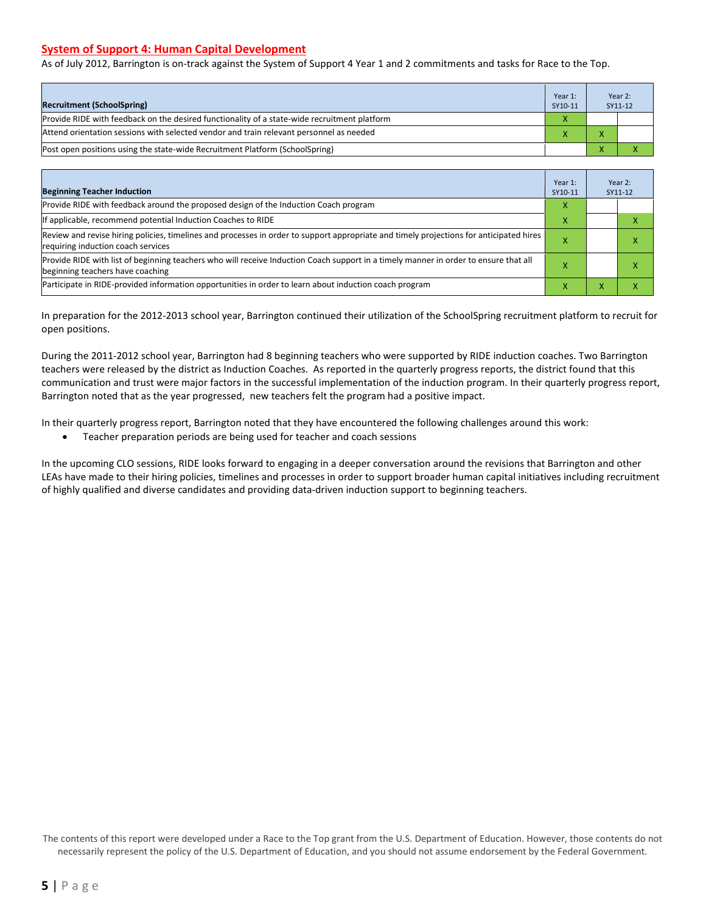#### **System of Support 4: Human Capital Development**

As of July 2012, Barrington is on-track against the System of Support 4 Year 1 and 2 commitments and tasks for Race to the Top.

|                                                                                              | Year 1: |              | Year 2: |
|----------------------------------------------------------------------------------------------|---------|--------------|---------|
| <b>Recruitment (SchoolSpring)</b>                                                            | SY10-11 |              | SY11-12 |
| Provide RIDE with feedback on the desired functionality of a state-wide recruitment platform |         |              |         |
| Attend orientation sessions with selected vendor and train relevant personnel as needed      |         |              |         |
| (Post open positions using the state-wide Recruitment Platform (SchoolSpring)                |         | $\mathbf{v}$ |         |

| <b>Beginning Teacher Induction</b>                                                                                                                                            | Year 1:<br>SY10-11 |                | Year 2:<br>SY11-12 |
|-------------------------------------------------------------------------------------------------------------------------------------------------------------------------------|--------------------|----------------|--------------------|
| Provide RIDE with feedback around the proposed design of the Induction Coach program                                                                                          | X                  |                |                    |
| If applicable, recommend potential Induction Coaches to RIDE                                                                                                                  | X                  |                |                    |
| Review and revise hiring policies, timelines and processes in order to support appropriate and timely projections for anticipated hires<br>requiring induction coach services |                    |                | ⋏                  |
| Provide RIDE with list of beginning teachers who will receive Induction Coach support in a timely manner in order to ensure that all<br>beginning teachers have coaching      |                    |                | ⋏                  |
| Participate in RIDE-provided information opportunities in order to learn about induction coach program                                                                        | x                  | $\overline{ }$ | ⋏                  |

In preparation for the 2012-2013 school year, Barrington continued their utilization of the SchoolSpring recruitment platform to recruit for open positions.

During the 2011-2012 school year, Barrington had 8 beginning teachers who were supported by RIDE induction coaches. Two Barrington teachers were released by the district as Induction Coaches. As reported in the quarterly progress reports, the district found that this communication and trust were major factors in the successful implementation of the induction program. In their quarterly progress report, Barrington noted that as the year progressed, new teachers felt the program had a positive impact.

In their quarterly progress report, Barrington noted that they have encountered the following challenges around this work:

• Teacher preparation periods are being used for teacher and coach sessions

In the upcoming CLO sessions, RIDE looks forward to engaging in a deeper conversation around the revisions that Barrington and other LEAs have made to their hiring policies, timelines and processes in order to support broader human capital initiatives including recruitment of highly qualified and diverse candidates and providing data-driven induction support to beginning teachers.

The contents of this report were developed under a Race to the Top grant from the U.S. Department of Education. However, those contents do not necessarily represent the policy of the U.S. Department of Education, and you should not assume endorsement by the Federal Government.